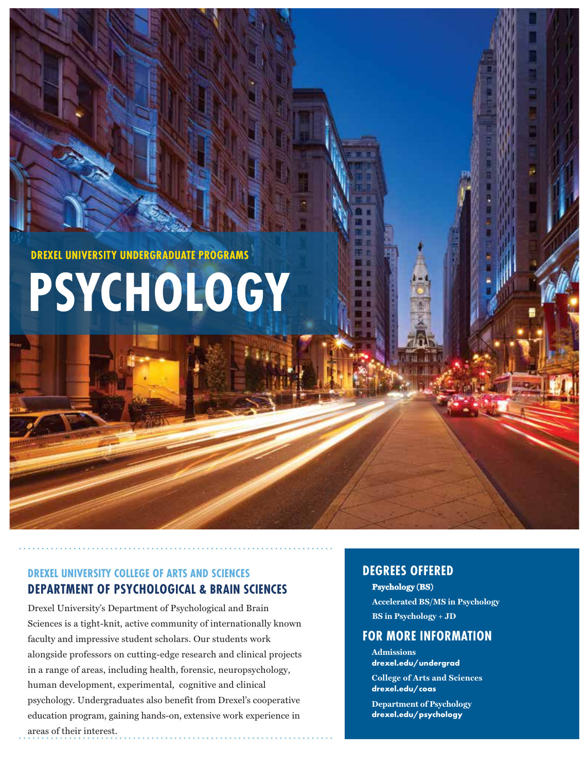**DREXEL UNIVERSITY UNDERGRADUATE PROGRAMS**

**PSYCHOLOGY**

# **DREXEL UNIVERSITY COLLEGE OF ARTS AND SCIENCES DEPARTMENT OF PSYCHOLOGICAL & BRAIN SCIENCES**

Drexel University's Department of Psychological and Brain Sciences is a tight-knit, active community of internationally known faculty and impressive student scholars. Our students work alongside professors on cutting-edge research and clinical projects in a range of areas, including health, forensic, neuropsychology, human development, experimental, cognitive and clinical psychology. Undergraduates also benefit from Drexel's cooperative education program, gaining hands-on, extensive work experience in areas of their interest.

# **DEGREES OFFERED**

**Psychology (BS)** Accelerated BS/MS in Psychology **BS** in Psychology + JD

# **FOR MORE INFORMATION**

**Admissions drexel.edu/undergrad College of Arts and Sciences drexel.edu/coas**

**Department of Psychology drexel.edu/psychology**